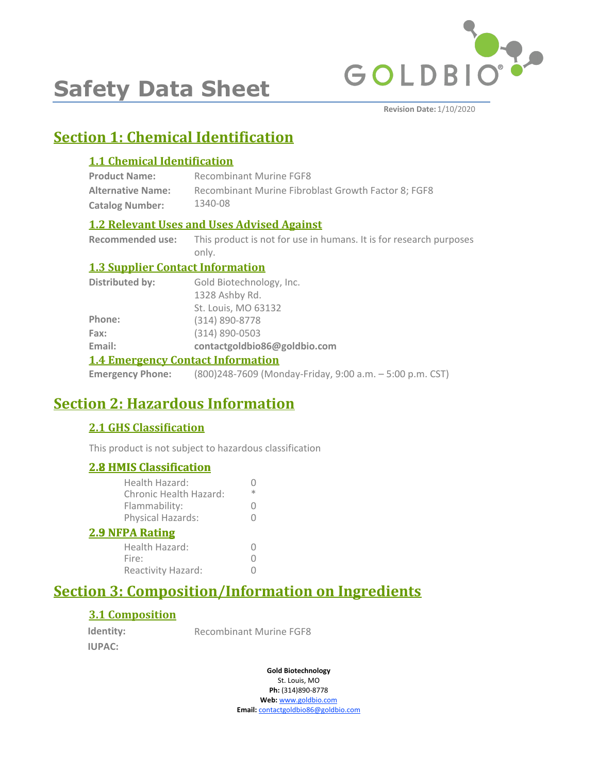

# **Safety Data Sheet**

**Revision Date:** 1/10/2020

# **Section 1: Chemical Identification**

### **1.1 Chemical Identification**

| <b>Product Name:</b>     | Recombinant Murine FGF8                             |
|--------------------------|-----------------------------------------------------|
| <b>Alternative Name:</b> | Recombinant Murine Fibroblast Growth Factor 8: FGF8 |
| <b>Catalog Number:</b>   | 1340-08                                             |

### **1.2 Relevant Uses and Uses Advised Against**

**Recommended use:** This product is not for use in humans. It is for research purposes only.

### **1.3 Supplier Contact Information**

| <b>1.4 Emergency Contact Information</b> |                              |
|------------------------------------------|------------------------------|
| Email:                                   | contactgoldbio86@goldbio.com |
| Fax:                                     | $(314) 890 - 0503$           |
| Phone:                                   | (314) 890-8778               |
|                                          | St. Louis, MO 63132          |
|                                          | 1328 Ashby Rd.               |
| <b>Distributed by:</b>                   | Gold Biotechnology, Inc.     |

**Emergency Phone:** (800)248-7609 (Monday-Friday, 9:00 a.m. – 5:00 p.m. CST)

# **Section 2: Hazardous Information**

### **2.1 GHS Classification**

This product is not subject to hazardous classification

### **2.8 HMIS Classification**

| <b>2.8 HMIS Classification</b>           |   |
|------------------------------------------|---|
| Health Hazard:<br>Chronic Health Hazard: | ж |
| Flammability:                            |   |
| Physical Hazards:                        |   |
| <b>2.9 NFPA Rating</b>                   |   |
| Health Hazard:                           |   |
| Fire:                                    |   |
| Reactivity Hazard:                       |   |
|                                          |   |

# **Section 3: Composition/Information on Ingredients**

### **3.1 Composition**

**Identity: IUPAC:**

Recombinant Murine FGF8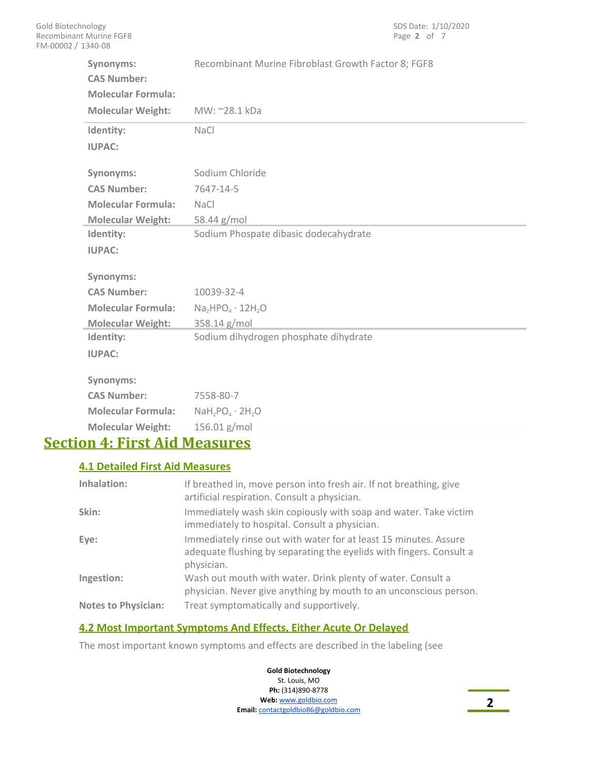| Synonyms:<br><b>CAS Number:</b> | Recombinant Murine Fibroblast Growth Factor 8; FGF8     |
|---------------------------------|---------------------------------------------------------|
| <b>Molecular Formula:</b>       |                                                         |
| <b>Molecular Weight:</b>        | MW: ~28.1 kDa                                           |
| Identity:                       | <b>NaCl</b>                                             |
| <b>IUPAC:</b>                   |                                                         |
|                                 |                                                         |
| Synonyms:                       | Sodium Chloride                                         |
| <b>CAS Number:</b>              | 7647-14-5                                               |
| <b>Molecular Formula:</b>       | <b>NaCl</b>                                             |
| <b>Molecular Weight:</b>        | 58.44 g/mol                                             |
| Identity:                       | Sodium Phospate dibasic dodecahydrate                   |
| <b>IUPAC:</b>                   |                                                         |
|                                 |                                                         |
| Synonyms:                       |                                                         |
| <b>CAS Number:</b>              | 10039-32-4                                              |
| <b>Molecular Formula:</b>       | $Na2HPO4 \cdot 12H2O$                                   |
| <b>Molecular Weight:</b>        | 358.14 g/mol                                            |
| Identity:                       | Sodium dihydrogen phosphate dihydrate                   |
| <b>IUPAC:</b>                   |                                                         |
| Synonyms:                       |                                                         |
| <b>CAS Number:</b>              | 7558-80-7                                               |
| <b>Molecular Formula:</b>       | $N$ aH <sub>2</sub> PO <sub>4</sub> · 2H <sub>2</sub> O |
| <b>Molecular Weight:</b>        | 156.01 g/mol                                            |

# **Section 4: First Aid Measures**

### **4.1 Detailed First Aid Measures**

| Inhalation:                | If breathed in, move person into fresh air. If not breathing, give<br>artificial respiration. Consult a physician.                                    |
|----------------------------|-------------------------------------------------------------------------------------------------------------------------------------------------------|
| Skin:                      | Immediately wash skin copiously with soap and water. Take victim<br>immediately to hospital. Consult a physician.                                     |
| Eye:                       | Immediately rinse out with water for at least 15 minutes. Assure<br>adequate flushing by separating the eyelids with fingers. Consult a<br>physician. |
| Ingestion:                 | Wash out mouth with water. Drink plenty of water. Consult a<br>physician. Never give anything by mouth to an unconscious person.                      |
| <b>Notes to Physician:</b> | Treat symptomatically and supportively.                                                                                                               |

### **4.2 Most Important Symptoms And Effects, Either Acute Or Delayed**

The most important known symptoms and effects are described in the labeling (see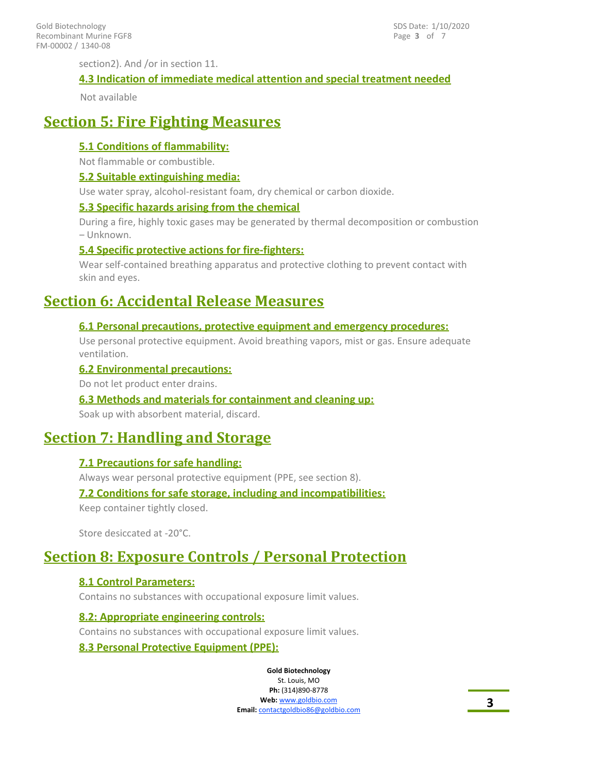section2). And /or in section 11.

#### **4.3 Indication of immediate medical attention and special treatment needed**

Not available

# **Section 5: Fire Fighting Measures**

#### **5.1 Conditions of flammability:**

Not flammable or combustible.

#### **5.2 Suitable extinguishing media:**

Use water spray, alcohol-resistant foam, dry chemical or carbon dioxide.

#### **5.3 Specific hazards arising from the chemical**

During a fire, highly toxic gases may be generated by thermal decomposition or combustion – Unknown.

#### **5.4 Specific protective actions for fire-fighters:**

Wear self-contained breathing apparatus and protective clothing to prevent contact with skin and eyes.

## **Section 6: Accidental Release Measures**

#### **6.1 Personal precautions, protective equipment and emergency procedures:**

Use personal protective equipment. Avoid breathing vapors, mist or gas. Ensure adequate ventilation.

#### **6.2 Environmental precautions:**

Do not let product enter drains.

#### **6.3 Methods and materials for containment and cleaning up:**

Soak up with absorbent material, discard.

# **Section 7: Handling and Storage**

#### **7.1 Precautions for safe handling:**

Always wear personal protective equipment (PPE, see section 8).

#### **7.2 Conditions for safe storage, including and incompatibilities:**

Keep container tightly closed.

Store desiccated at -20°C.

# **Section 8: Exposure Controls / Personal Protection**

### **8.1 Control Parameters:**

Contains no substances with occupational exposure limit values.

#### **8.2: Appropriate engineering controls:**

Contains no substances with occupational exposure limit values.

#### **8.3 Personal Protective Equipment (PPE):**

**Gold Biotechnology** St. Louis, MO **Ph:** (314)890-8778

**Web:** www.goldbio.com **Email:** contactgoldbio86@goldbio.com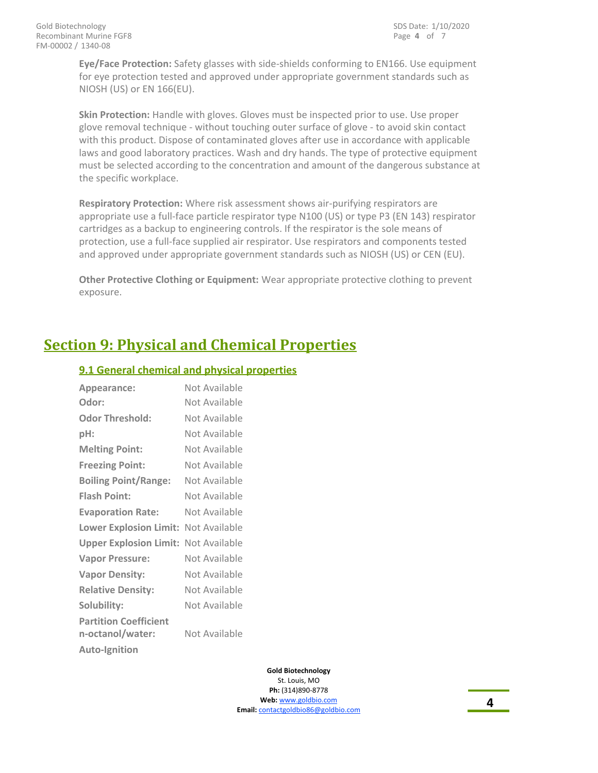**Eye/Face Protection:** Safety glasses with side-shields conforming to EN166. Use equipment for eye protection tested and approved under appropriate government standards such as NIOSH (US) or EN 166(EU).

**Skin Protection:** Handle with gloves. Gloves must be inspected prior to use. Use proper glove removal technique - without touching outer surface of glove - to avoid skin contact with this product. Dispose of contaminated gloves after use in accordance with applicable laws and good laboratory practices. Wash and dry hands. The type of protective equipment must be selected according to the concentration and amount of the dangerous substance at the specific workplace.

**Respiratory Protection:** Where risk assessment shows air-purifying respirators are appropriate use a full-face particle respirator type N100 (US) or type P3 (EN 143) respirator cartridges as a backup to engineering controls. If the respirator is the sole means of protection, use a full-face supplied air respirator. Use respirators and components tested and approved under appropriate government standards such as NIOSH (US) or CEN (EU).

**Other Protective Clothing or Equipment:** Wear appropriate protective clothing to prevent exposure.

# **Section 9: Physical and Chemical Properties**

### **9.1 General chemical and physical properties**

| Appearance:                                      | Not Available |
|--------------------------------------------------|---------------|
| Odor:                                            | Not Available |
| <b>Odor Threshold:</b>                           | Not Available |
| pH:                                              | Not Available |
| <b>Melting Point:</b>                            | Not Available |
| <b>Freezing Point:</b>                           | Not Available |
| <b>Boiling Point/Range:</b>                      | Not Available |
| <b>Flash Point:</b>                              | Not Available |
| <b>Evaporation Rate:</b>                         | Not Available |
| <b>Lower Explosion Limit:</b>                    | Not Available |
| <b>Upper Explosion Limit:</b>                    | Not Available |
| <b>Vapor Pressure:</b>                           | Not Available |
| <b>Vapor Density:</b>                            | Not Available |
| <b>Relative Density:</b>                         | Not Available |
| Solubility:                                      | Not Available |
| <b>Partition Coefficient</b><br>n-octanol/water: | Not Available |
| <b>Auto-Ignition</b>                             |               |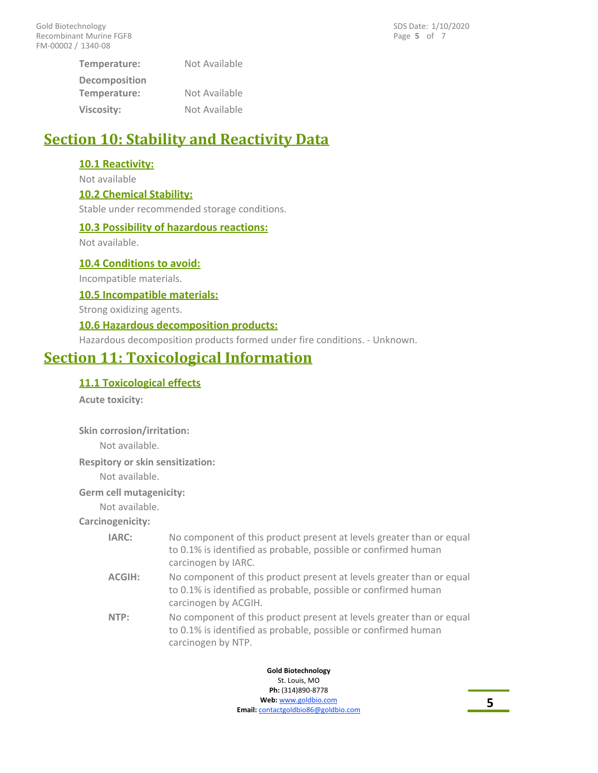**Temperature:** Not Available **Decomposition Temperature:** Not Available **Viscosity:** Not Available

# **Section 10: Stability and Reactivity Data**

### **10.1 Reactivity:**

Not available

### **10.2 Chemical Stability:**

Stable under recommended storage conditions.

#### **10.3 Possibility of hazardous reactions:**

Not available.

**10.4 Conditions to avoid:**

Incompatible materials.

**10.5 Incompatible materials:**

Strong oxidizing agents.

#### **10.6 Hazardous decomposition products:**

Hazardous decomposition products formed under fire conditions. - Unknown.

# **Section 11: Toxicological Information**

### **11.1 Toxicological effects**

**Acute toxicity:**

**Skin corrosion/irritation:**

Not available.

**Respitory or skin sensitization:**

Not available.

**Germ cell mutagenicity:**

Not available.

**Carcinogenicity:**

| <b>IARC:</b> | No component of this product present at levels greater than or equal<br>to 0.1% is identified as probable, possible or confirmed human<br>carcinogen by IARC.  |
|--------------|----------------------------------------------------------------------------------------------------------------------------------------------------------------|
| ACGIH:       | No component of this product present at levels greater than or equal<br>to 0.1% is identified as probable, possible or confirmed human<br>carcinogen by ACGIH. |
| NTP:         | No component of this product present at levels greater than or equal                                                                                           |

No component of this product present at levels greater than or equal to 0.1% is identified as probable, possible or confirmed human carcinogen by NTP. **NTP:**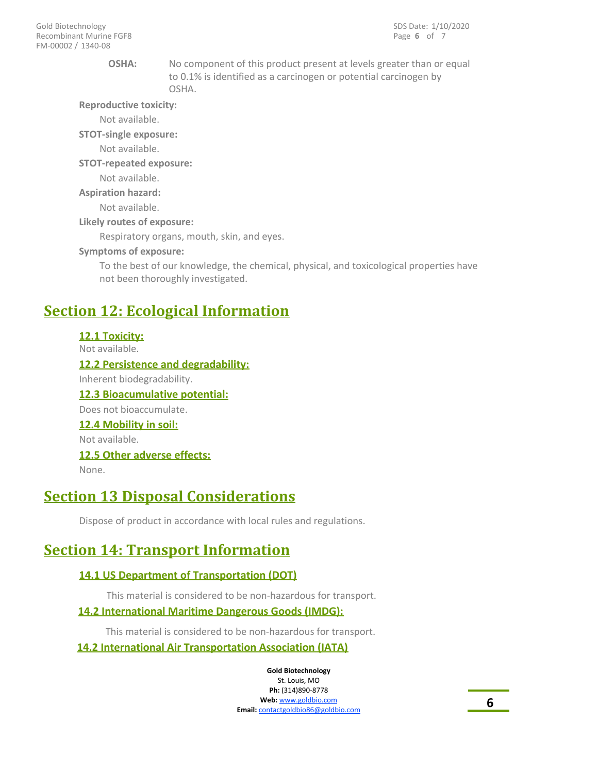#### **OSHA:**

No component of this product present at levels greater than or equal to 0.1% is identified as a carcinogen or potential carcinogen by OSHA.

**Reproductive toxicity:**

Not available.

**STOT-single exposure:**

Not available.

**STOT-repeated exposure:**

Not available.

**Aspiration hazard:**

Not available.

**Likely routes of exposure:**

Respiratory organs, mouth, skin, and eyes.

#### **Symptoms of exposure:**

To the best of our knowledge, the chemical, physical, and toxicological properties have not been thoroughly investigated.

## **Section 12: Ecological Information**

**12.1 Toxicity:**

Not available.

**12.2 Persistence and degradability:** Inherent biodegradability. **12.3 Bioacumulative potential:** Does not bioaccumulate. **12.4 Mobility in soil:** Not available. **12.5 Other adverse effects:**

None.

### **Section 13 Disposal Considerations**

Dispose of product in accordance with local rules and regulations.

## **Section 14: Transport Information**

#### **14.1 US Department of Transportation (DOT)**

This material is considered to be non-hazardous for transport.

### **14.2 International Maritime Dangerous Goods (IMDG):**

This material is considered to be non-hazardous for transport. **14.2 International Air Transportation Association (IATA)**

> **Gold Biotechnology** St. Louis, MO

**Ph:** (314)890-8778 **Web:** www.goldbio.com **Email:** contactgoldbio86@goldbio.com